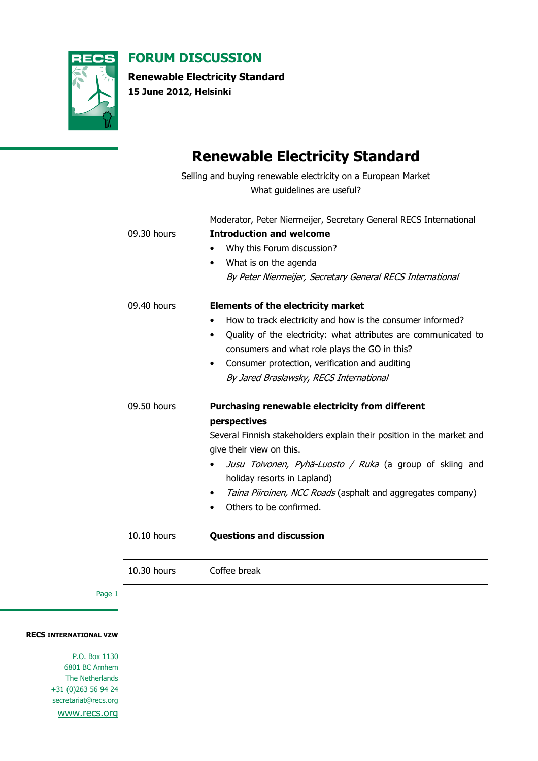

FORUM DISCUSSION

Renewable Electricity Standard

15 June 2012, Helsinki

## Renewable Electricity Standard

Selling and buying renewable electricity on a European Market What guidelines are useful? Moderator, Peter Niermeijer, Secretary General RECS International 09.30 hours **Introduction and welcome** • Why this Forum discussion? • What is on the agenda By Peter Niermeijer, Secretary General RECS International 09.40 hours **Elements of the electricity market** • How to track electricity and how is the consumer informed? • Quality of the electricity: what attributes are communicated to consumers and what role plays the GO in this? • Consumer protection, verification and auditing By Jared Braslawsky, RECS International 09.50 hours **Purchasing renewable electricity from different** perspectives Several Finnish stakeholders explain their position in the market and give their view on this. • Jusu Toivonen, Pyhä-Luosto / Ruka (a group of skiing and holiday resorts in Lapland) • Taina Piiroinen, NCC Roads (asphalt and aggregates company) • Others to be confirmed. 10.10 hours **Questions and discussion** 

10.30 hours Coffee break

Page 1

RECS INTERNATIONAL VZW

P.O. Box 1130 6801 BC Arnhem The Netherlands +31 (0)263 56 94 24 secretariat@recs.org

www.recs.org